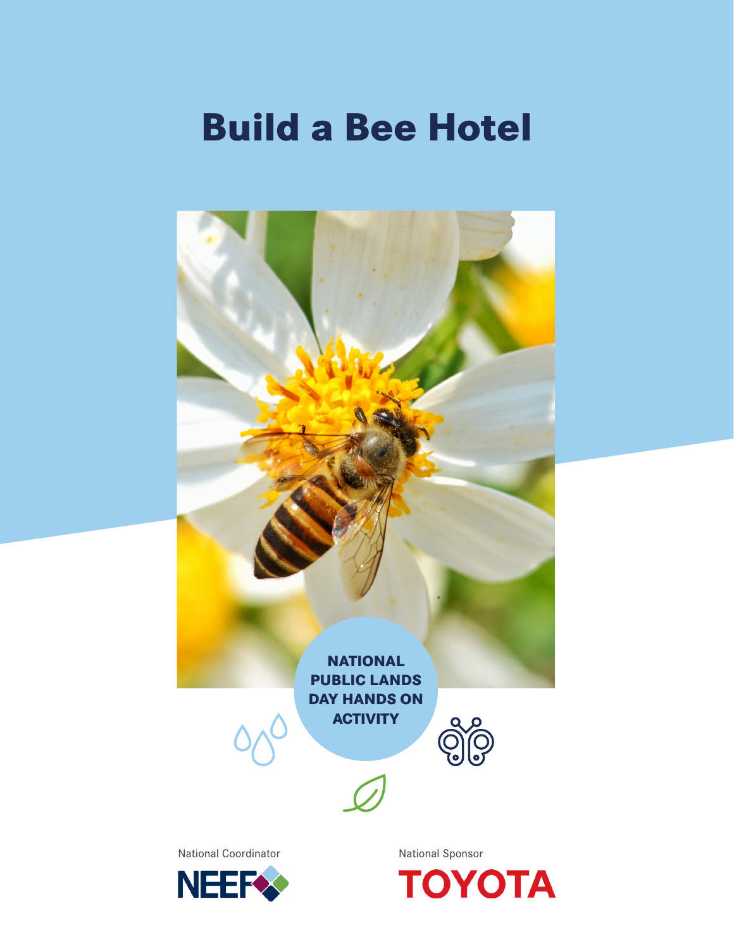# **Build a Bee Hotel**

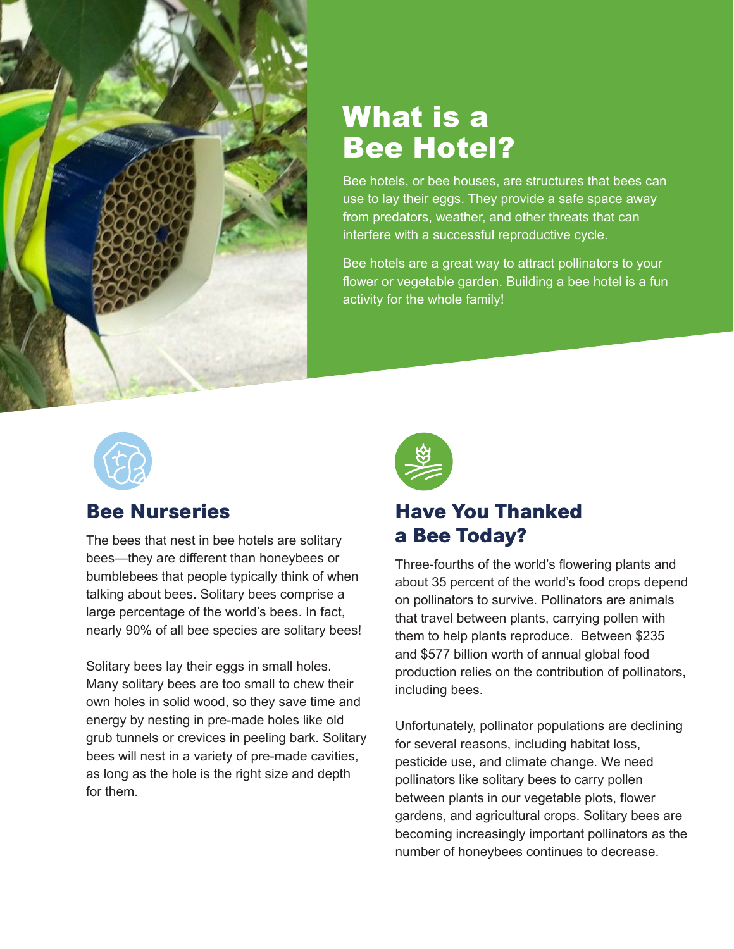

## What is a Bee Hotel?

Bee hotels, or bee houses, are structures that bees can use to lay their eggs. They provide a safe space away from predators, weather, and other threats that can interfere with a successful reproductive cycle.

Bee hotels are a great way to attract pollinators to your flower or vegetable garden. Building a bee hotel is a fun activity for the whole family!



### **Bee Nurseries**

The bees that nest in bee hotels are solitary bees—they are different than honeybees or bumblebees that people typically think of when talking about bees. Solitary bees comprise a large percentage of the world's bees. In fact, nearly 90% of all bee species are solitary bees!

Solitary bees lay their eggs in small holes. Many solitary bees are too small to chew their own holes in solid wood, so they save time and energy by nesting in pre-made holes like old grub tunnels or crevices in peeling bark. Solitary bees will nest in a variety of pre-made cavities, as long as the hole is the right size and depth for them.



### **Have You Thanked a Bee Today?**

Three-fourths of the world's flowering plants and about 35 percent of the world's food crops depend on pollinators to survive. Pollinators are animals that travel between plants, carrying pollen with them to help plants reproduce. Between \$235 and \$577 billion worth of annual global food production relies on the contribution of pollinators, including bees.

Unfortunately, pollinator populations are declining for several reasons, including habitat loss, pesticide use, and climate change. We need pollinators like solitary bees to carry pollen between plants in our vegetable plots, flower gardens, and agricultural crops. Solitary bees are becoming increasingly important pollinators as the number of honeybees continues to decrease.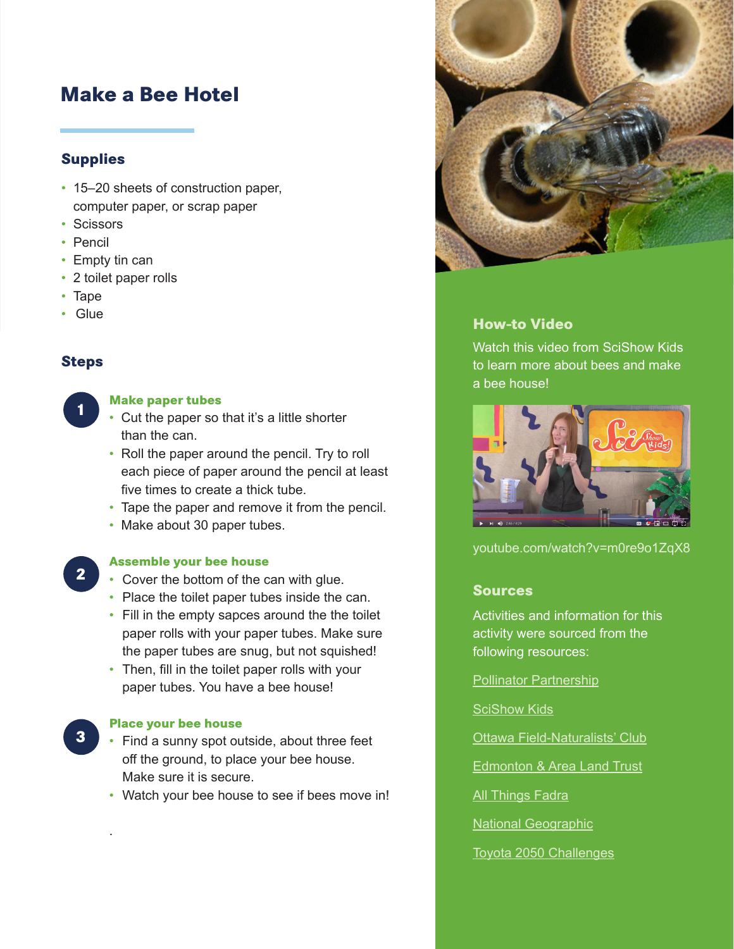### **Make a Bee Hotel**

#### **Supplies**

- 15–20 sheets of construction paper, computer paper, or scrap paper
- Scissors
- Pencil
- Empty tin can
- 2 toilet paper rolls
- Tape
- Glue

#### **Steps**

**1**

#### **Make paper tubes**

- Cut the paper so that it's a little shorter than the can.
- Roll the paper around the pencil. Try to roll each piece of paper around the pencil at least five times to create a thick tube.
- Tape the paper and remove it from the pencil.
- Make about 30 paper tubes.

**2**

**3**

#### **Assemble your bee house**

- Cover the bottom of the can with glue.
- Place the toilet paper tubes inside the can.
- Fill in the empty sapces around the the toilet paper rolls with your paper tubes. Make sure the paper tubes are snug, but not squished!
- Then, fill in the toilet paper rolls with your paper tubes. You have a bee house!

#### **Place your bee house**

.

- Find a sunny spot outside, about three feet off the ground, to place your bee house. Make sure it is secure.
- Watch your bee house to see if bees move in!



#### **How-to Video**

Watch this video from SciShow Kids to learn more about bees and make a bee house!



[youtube.com/watch?v=m0re9o1ZqX8](https://www.youtube.com/watch?v=m0re9o1ZqX8)

#### **Sources**

Activities and information for this activity were sourced from the following resources:

#### [Pollinator Partnership](https://www.pollinator.org/)

[SciShow Kids](https://www.youtube.com/watch?v=m0re9o1ZqX8)

[Ottawa Field-Naturalists' Club](https://ofnc.wordpress.com/2016/05/15/build-a-home-for-mason-bees/)

[Edmonton & Area Land Trust](https://www.ealt.ca/kids-blog/build-a-milk-carton-bee-hotel)

[All Things Fadra](https://allthingsfadra.com/making-bee-house-help-garden/)

[National Geographic](https://www.nationalgeographic.org/media/build-your-own-bee-hotel/)

[Toyota 2050 Challenges](https://global.toyota/en/sustainability/esg/challenge2050/)